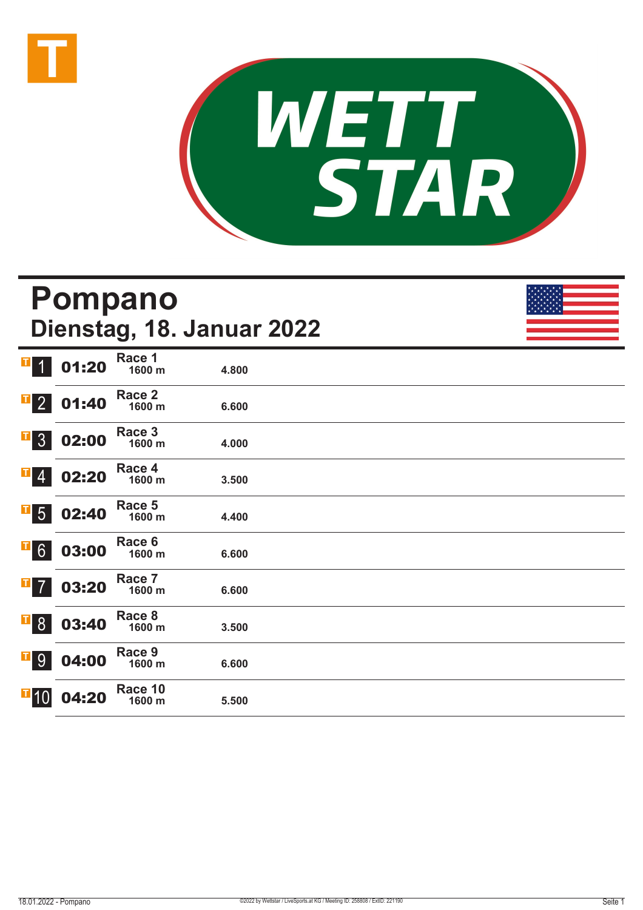



|                           |       | <b>Pompano</b>    | Dienstag, 18. Januar 2022 |  |
|---------------------------|-------|-------------------|---------------------------|--|
| <b>II</b>                 | 01:20 | Race 1<br>1600 m  | 4.800                     |  |
| $\overline{1}$ 2          | 01:40 | Race 2<br>1600 m  | 6.600                     |  |
| $\overline{\textbf{1}}$ 3 | 02:00 | Race 3<br>1600 m  | 4.000                     |  |
| П<br>$\vert 4 \vert$      | 02:20 | Race 4<br>1600 m  | 3.500                     |  |
| $\overline{1}$ 5          | 02:40 | Race 5<br>1600 m  | 4.400                     |  |
| $\overline{1}$ 6          | 03:00 | Race 6<br>1600 m  | 6.600                     |  |
| $\mathbf{F}$ 7            | 03:20 | Race 7<br>1600 m  | 6.600                     |  |
| $\mathbf{F}$ 8            | 03:40 | Race 8<br>1600 m  | 3.500                     |  |
| $\mathbf{F}$ 9            | 04:00 | Race 9<br>1600 m  | 6.600                     |  |
| $\Pi$ 10                  | 04:20 | Race 10<br>1600 m | 5.500                     |  |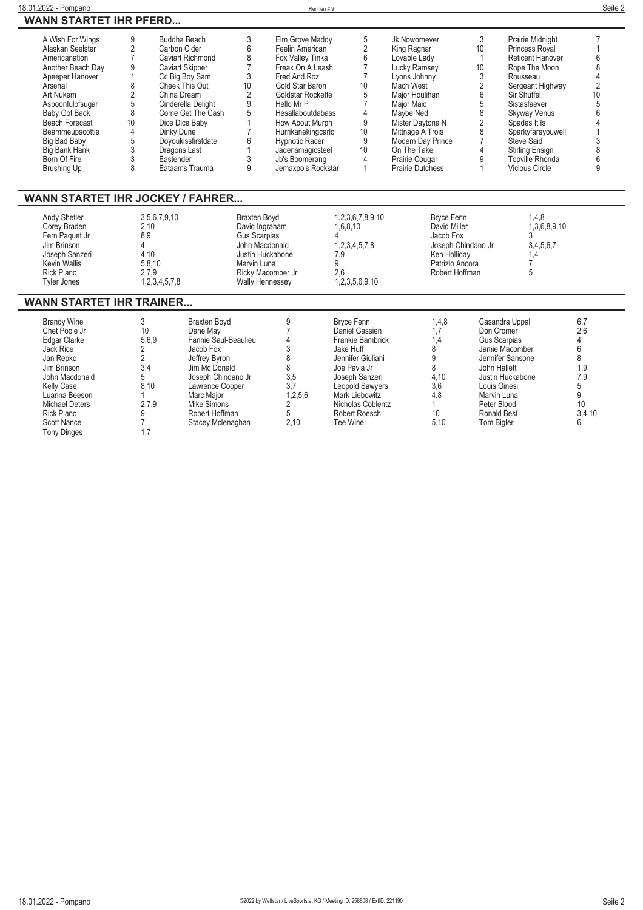| 18.01.2022<br>Pompano              | Rennen # | Seite ∠ |
|------------------------------------|----------|---------|
| <b>WANN STARTET IHR PEERD</b><br>. |          |         |

| A Wish For Wings      | 9  | Buddha Beach           |    | Elm Grove Maddy       | 5  | Jk Nowornever           |    | Prairie Midnight        |  |
|-----------------------|----|------------------------|----|-----------------------|----|-------------------------|----|-------------------------|--|
| Alaskan Seelster      |    | Carbon Cider           |    | Feelin American       |    | King Ragnar             | 10 | Princess Royal          |  |
| Americanation         |    | Caviart Richmond       |    | Fox Valley Tinka      |    | Lovable Lady            |    | <b>Reticent Hanover</b> |  |
| Another Beach Day     |    | <b>Caviart Skipper</b> |    | Freak On A Leash      |    | Lucky Ramsey            | 10 | Rope The Moon           |  |
| Apeeper Hanover       |    | Cc Big Boy Sam         |    | Fred And Roz          |    | Lyons Johnny            |    | Rousseau                |  |
| Arsenal               |    | Cheek This Out         | 10 | Gold Star Baron       | 10 | Mach West               |    | Sergeant Highway        |  |
| Art Nukem             |    | China Dream            |    | Goldstar Rockette     |    | Maior Houlihan          |    | Sir Shuffel             |  |
| Aspoonfulofsugar      |    | Cinderella Delight     |    | Hello Mr P            |    | Major Maid              |    | Sistasfaever            |  |
| Baby Got Back         | 8  | Come Get The Cash      |    | Hesallaboutdabass     |    | Maybe Ned               |    | Skyway Venus            |  |
| <b>Beach Forecast</b> | 10 | Dice Dice Baby         |    | How About Murph       | 9  | Mister Davtona N        |    | Spades It Is            |  |
| Beammeupscottie       |    | Dinky Dune             |    | Hurrikanekingcarlo    | 10 | Mittnage A Trois        |    | Sparkyfareyouwell       |  |
| Big Bad Baby          |    | Doyoukissfirstdate     |    | <b>Hypnotic Racer</b> |    | Modern Day Prince       |    | Steve Said              |  |
| Big Bank Hank         |    | Dragons Last           |    | Jadensmagicsteel      | 10 | On The Take             |    | Stirling Ensign         |  |
| Born Of Fire          |    | Eastender              |    | Jb's Boomerang        |    | Prairie Cougar          |    | Topville Rhonda         |  |
| Brushing Up           |    | Eataams Trauma         |    | Jemaxpo's Rockstar    |    | <b>Prairie Dutchess</b> |    | <b>Vicious Circle</b>   |  |
|                       |    |                        |    |                       |    |                         |    |                         |  |

### **WANN STARTET IHR JOCKEY / FAHRER...**

| 3,5,6,7,9,10<br><b>Andy Shetler</b>                                                                                                                                                                                                                                                                                                                                                                                                                                                                                    |                                                                |
|------------------------------------------------------------------------------------------------------------------------------------------------------------------------------------------------------------------------------------------------------------------------------------------------------------------------------------------------------------------------------------------------------------------------------------------------------------------------------------------------------------------------|----------------------------------------------------------------|
| 1,3,6,8,9,10<br>David Ingraham<br>1.6.8.10<br>David Miller<br>Corey Braden<br>2.10<br>Jacob Fox<br>Fern Paquet Jr<br>Gus Scarpias<br>8.9<br>1.2.3.4.5.7.8<br>3,4,5,6,7<br>Jim Brinson<br>Joseph Chindano Jr<br>John Macdonald<br>Joseph Sanzeri<br>4.10<br>Justin Huckabone<br>Ken Hollidav<br>7.9<br>5.8.10<br>Marvin Luna<br><b>Kevin Wallis</b><br>Patrizio Ancora<br>Robert Hoffman<br>Rick Plano<br>2.7.9<br>Ricky Macomber Jr<br>2.6<br>1,2,3,5,6,9,10<br>1,2,3,4,5,7,8<br>Tyler Jones<br><b>Wally Hennessey</b> | 1,2,3,6,7,8,9,10<br>1.4.8<br><b>Braxten Bovd</b><br>Bryce Fenn |

#### **WANN STARTET IHR TRAINER...**

| <b>Brandy Wine</b><br>Chet Poole Jr<br>Edgar Clarke<br>Jack Rice<br>Jan Repko<br>Jim Brinson<br>John Macdonald<br>Kelly Case<br>Luanna Beeson<br>Michael Deters<br>Rick Plano | 10<br>5,6,9<br>3.4<br>8.10<br>2.7.9 | Braxten Bovd<br>Dane Mav<br>Fannie Saul-Beaulieu<br>Jacob Fox<br>Jeffrey Byron<br>Jim Mc Donald<br>Joseph Chindano Jr<br>Lawrence Cooper<br>Marc Maior<br>Mike Simons<br>Robert Hoffman | 3,5<br>3.7<br>1,2,5,6 | Bryce Fenn<br>Daniel Gassien<br>Frankie Bambrick<br>Jake Huff<br>Jennifer Giuliani<br>Joe Pavia Jr<br>Joseph Sanzeri<br>Leopold Sawyers<br>Mark Liebowitz<br>Nicholas Coblentz<br>Robert Roesch | 1,4,8<br>1.4<br>4,10<br>3,6<br>4,8<br>10 <sup>°</sup> | Casandra Uppal<br>Don Cromer<br>Gus Scarpias<br>Jamie Macomber<br>Jennifer Sansone<br>John Hallett<br>Justin Huckabone<br>Louis Ginesi<br>Marvin Luna<br>Peter Blood<br>Ronald Best | 6,7<br>2.6<br>9. ا<br>7,9<br>10<br>3,4,10 |
|-------------------------------------------------------------------------------------------------------------------------------------------------------------------------------|-------------------------------------|-----------------------------------------------------------------------------------------------------------------------------------------------------------------------------------------|-----------------------|-------------------------------------------------------------------------------------------------------------------------------------------------------------------------------------------------|-------------------------------------------------------|-------------------------------------------------------------------------------------------------------------------------------------------------------------------------------------|-------------------------------------------|
| <b>Scott Nance</b><br><b>Tony Dinges</b>                                                                                                                                      |                                     | Stacey Mclenaghan                                                                                                                                                                       | 2,10                  | Tee Wine                                                                                                                                                                                        | 5.10                                                  | Tom Bigler                                                                                                                                                                          | 6                                         |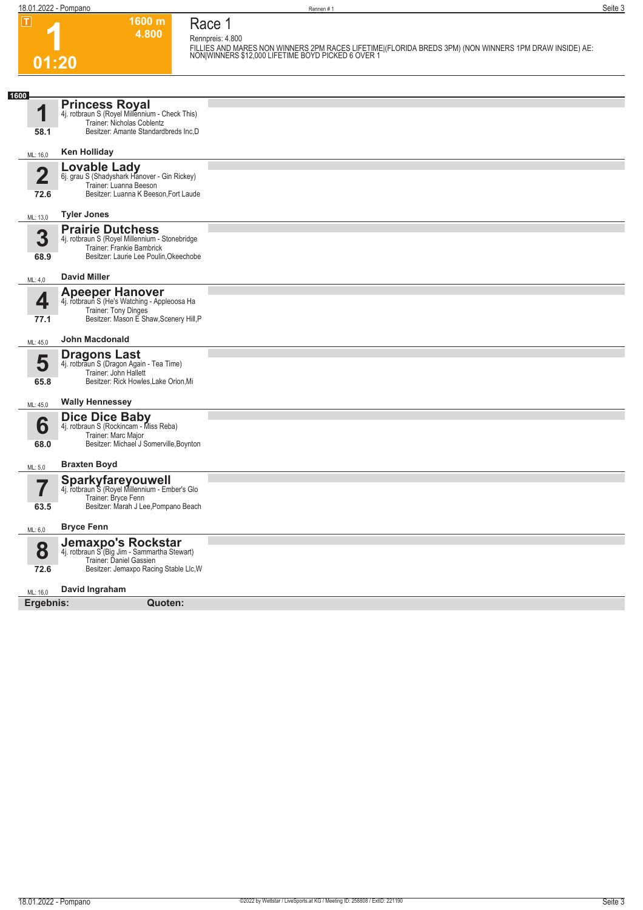**Race 1**

**Rennpreis: 4.800**

**1600 m 4.800** 

**1 01:20**

**FILLIES AND MARES NON WINNERS 2PM RACES LIFETIME|(FLORIDA BREDS 3PM) (NON WINNERS 1PM DRAW INSIDE) AE: NON|WINNERS \$12,000 LIFETIME BOYD PICKED 6 OVER 1** 

| 1600                            |                                                                                                                                                  |  |
|---------------------------------|--------------------------------------------------------------------------------------------------------------------------------------------------|--|
| И                               | <b>Princess Royal</b><br>4j. rotbraun S (Royel Millennium - Check This)<br>Trainer: Nicholas Coblentz                                            |  |
| 58.1                            | Besitzer: Amante Standardbreds Inc,D                                                                                                             |  |
| ML: 16,0                        | <b>Ken Holliday</b>                                                                                                                              |  |
| $\overline{\mathbf{2}}$<br>72.6 | <b>Lovable Lady</b><br>6j. grau S (Shadyshark Hanover - Gin Rickey)<br>Trainer: Luanna Beeson<br>Besitzer: Luanna K Beeson, Fort Laude           |  |
| ML: 13,0                        | <b>Tyler Jones</b>                                                                                                                               |  |
| 3<br>68.9                       | <b>Prairie Dutchess</b><br>4j. rotbraun S (Royel Millennium - Stonebridge<br>Trainer: Frankie Bambrick<br>Besitzer: Laurie Lee Poulin, Okeechobe |  |
| ML: 4,0                         | <b>David Miller</b>                                                                                                                              |  |
| 4<br>77.1                       | <b>Apeeper Hanover</b><br>4j. rotbraun S (He's Watching - Appleoosa Ha<br>Trainer: Tony Dinges<br>Besitzer: Mason E Shaw, Scenery Hill, P        |  |
| ML: 45,0                        | John Macdonald                                                                                                                                   |  |
| 5<br>65.8                       | <b>Dragons Last</b><br>4j. rotbraun S (Dragon Again - Tea Time)<br>Trainer: John Hallett<br>Besitzer: Rick Howles, Lake Orion, Mi                |  |
| ML: 45,0                        | <b>Wally Hennessey</b>                                                                                                                           |  |
| 6<br>68.0                       | <b>Dice Dice Baby</b><br>4j. rotbraun S (Rockincam - Miss Reba)<br>Trainer: Marc Major<br>Besitzer: Michael J Somerville, Boynton                |  |
| ML: 5,0                         | <b>Braxten Boyd</b>                                                                                                                              |  |
| 63.5                            | <b>Sparkyfareyouwell</b><br>4j. rotbraun S (Royel Millennium - Ember's Glo<br>Trainer: Bryce Fenn<br>Besitzer: Marah J Lee, Pompano Beach        |  |
| ML: 6,0                         | <b>Bryce Fenn</b>                                                                                                                                |  |
| 8<br>72.6                       | Jemaxpo's Rockstar<br>4j. rotbraun S (Big Jim - Sammartha Stewart)<br>Trainer: Daniel Gassien<br>Besitzer: Jemaxpo Racing Stable Llc, W          |  |
|                                 | David Ingraham                                                                                                                                   |  |
| ML: 16,0                        | Quoten:                                                                                                                                          |  |
| Ergebnis:                       |                                                                                                                                                  |  |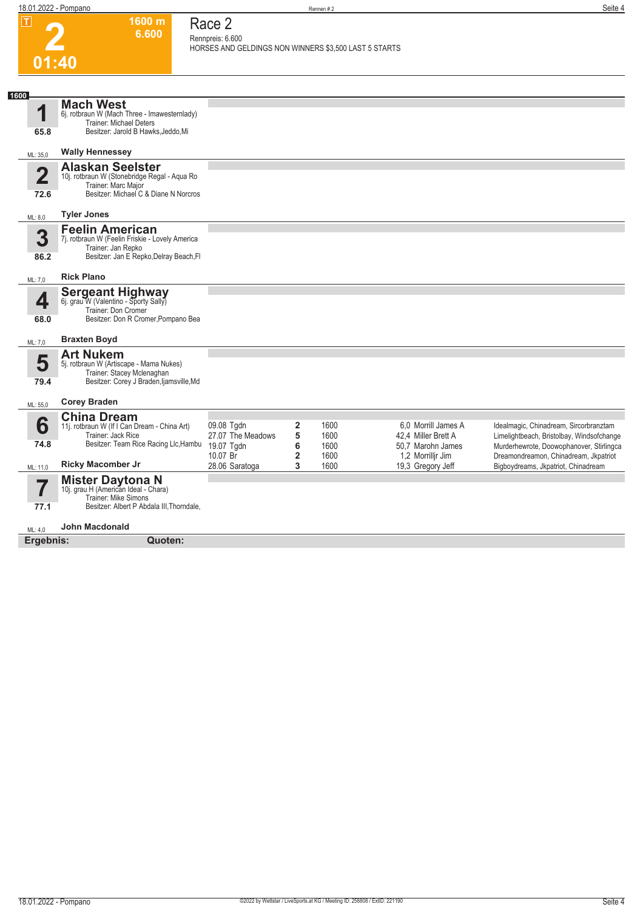**1600 m 6.600**  **Race 2 Rennpreis: 6.600**

**2**

|           |                                                                         | HORSES AND GELDINGS NON WINNERS \$3,500 LAST 5 STARTS |                              |              |                                        |                                                                                   |
|-----------|-------------------------------------------------------------------------|-------------------------------------------------------|------------------------------|--------------|----------------------------------------|-----------------------------------------------------------------------------------|
| 01:40     |                                                                         |                                                       |                              |              |                                        |                                                                                   |
|           |                                                                         |                                                       |                              |              |                                        |                                                                                   |
| 1600      | <b>Mach West</b>                                                        |                                                       |                              |              |                                        |                                                                                   |
| 1         | 6j. rotbraun W (Mach Three - Imawesternlady)                            |                                                       |                              |              |                                        |                                                                                   |
| 65.8      | Trainer: Michael Deters<br>Besitzer: Jarold B Hawks, Jeddo, Mi          |                                                       |                              |              |                                        |                                                                                   |
|           |                                                                         |                                                       |                              |              |                                        |                                                                                   |
| ML: 35,0  | <b>Wally Hennessey</b>                                                  |                                                       |                              |              |                                        |                                                                                   |
| 2         | <b>Alaskan Seelster</b><br>10j. rotbraun W (Stonebridge Regal - Aqua Ro |                                                       |                              |              |                                        |                                                                                   |
|           | Trainer: Marc Major                                                     |                                                       |                              |              |                                        |                                                                                   |
| 72.6      | Besitzer: Michael C & Diane N Norcros                                   |                                                       |                              |              |                                        |                                                                                   |
| ML: 8,0   | <b>Tyler Jones</b>                                                      |                                                       |                              |              |                                        |                                                                                   |
|           | <b>Feelin American</b>                                                  |                                                       |                              |              |                                        |                                                                                   |
| 3         | 7j. rotbraun W (Feelin Friskie - Lovely America<br>Trainer: Jan Repko   |                                                       |                              |              |                                        |                                                                                   |
| 86.2      | Besitzer: Jan E Repko, Delray Beach, Fl                                 |                                                       |                              |              |                                        |                                                                                   |
| ML: 7,0   | <b>Rick Plano</b>                                                       |                                                       |                              |              |                                        |                                                                                   |
|           | <b>Sergeant Highway</b><br>6j. grau W (Valentino - Sporty Sally)        |                                                       |                              |              |                                        |                                                                                   |
| 4         | Trainer: Don Cromer                                                     |                                                       |                              |              |                                        |                                                                                   |
| 68.0      | Besitzer: Don R Cromer, Pompano Bea                                     |                                                       |                              |              |                                        |                                                                                   |
|           | <b>Braxten Boyd</b>                                                     |                                                       |                              |              |                                        |                                                                                   |
| ML: 7,0   | <b>Art Nukem</b>                                                        |                                                       |                              |              |                                        |                                                                                   |
| 5         | 5j. rotbraun W (Artiscape - Mama Nukes)                                 |                                                       |                              |              |                                        |                                                                                   |
| 79.4      | Trainer: Stacey Mclenaghan<br>Besitzer: Corey J Braden, Ijamsville, Md  |                                                       |                              |              |                                        |                                                                                   |
|           |                                                                         |                                                       |                              |              |                                        |                                                                                   |
| ML: 55,0  | <b>Corey Braden</b>                                                     |                                                       |                              |              |                                        |                                                                                   |
| 6         | <b>China Dream</b><br>11j. rotbraun W (If I Can Dream - China Art)      | 09.08 Tgdn                                            | $\mathbf{2}$                 | 1600         | 6.0 Morrill James A                    | Idealmagic, Chinadream, Sircorbranztam                                            |
|           | Trainer: Jack Rice                                                      | 27.07 The Meadows                                     | 5                            | 1600         | 42.4 Miller Brett A                    | Limelightbeach, Bristolbay, Windsofchange                                         |
| 74.8      | Besitzer: Team Rice Racing Llc, Hambu                                   | 19.07 Tgdn<br>10.07 Br                                | 6<br>$\overline{\mathbf{2}}$ | 1600<br>1600 | 50,7 Marohn James<br>1,2 Morrillir Jim | Murderhewrote, Doowophanover, Stirlingca<br>Dreamondreamon, Chinadream, Jkpatriot |
| ML: 11,0  | <b>Ricky Macomber Jr</b>                                                | 28.06 Saratoga                                        | 3                            | 1600         | 19,3 Gregory Jeff                      | Bigboydreams, Jkpatriot, Chinadream                                               |
|           | <b>Mister Daytona N</b>                                                 |                                                       |                              |              |                                        |                                                                                   |
|           | 10j. grau H (American Ideal - Chara)<br>Trainer: Mike Simons            |                                                       |                              |              |                                        |                                                                                   |
| 77.1      | Besitzer: Albert P Abdala III, Thorndale,                               |                                                       |                              |              |                                        |                                                                                   |
| ML: 4,0   | <b>John Macdonald</b>                                                   |                                                       |                              |              |                                        |                                                                                   |
| Ergebnis: | Quoten:                                                                 |                                                       |                              |              |                                        |                                                                                   |
|           |                                                                         |                                                       |                              |              |                                        |                                                                                   |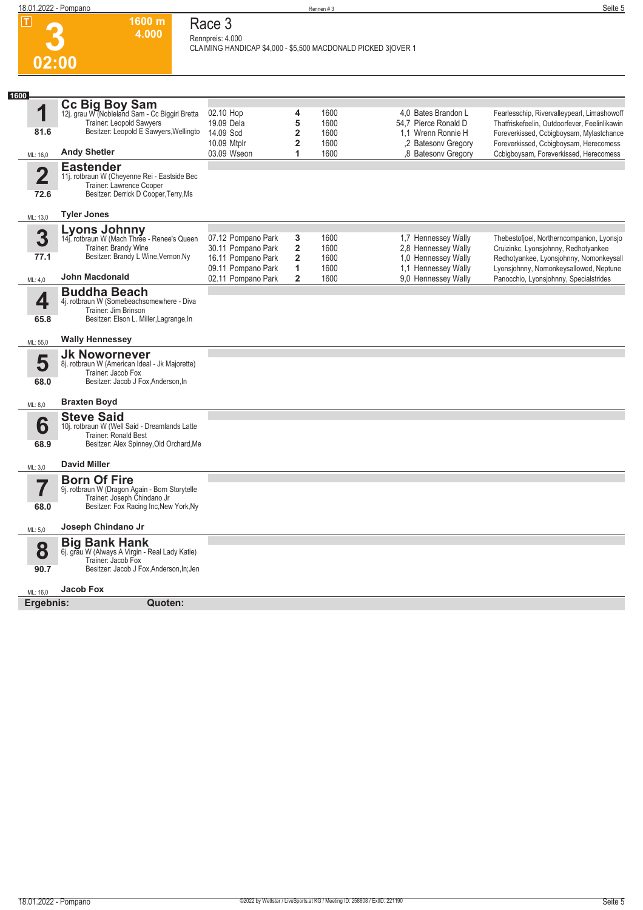

#### **Race 3 Rennpreis: 4.000**

**1600 m 4.000** 

**CLAIMING HANDICAP \$4,000 - \$5,500 MACDONALD PICKED 3|OVER 1** 

| 1600                            |                                                                                                                                                            |                                                                                      |                                                              |                              |                                                                                          |                                                                                                                                                                                    |
|---------------------------------|------------------------------------------------------------------------------------------------------------------------------------------------------------|--------------------------------------------------------------------------------------|--------------------------------------------------------------|------------------------------|------------------------------------------------------------------------------------------|------------------------------------------------------------------------------------------------------------------------------------------------------------------------------------|
| 1<br>81.6                       | Cc Big Boy Sam<br>12j. grau W (Nobleland Sam - Cc Biggirl Bretta<br>Trainer: Leopold Sawyers<br>Besitzer: Leopold E Sawyers, Wellingto                     | 02.10 Hop<br>19.09 Dela<br>14.09 Scd<br>10.09 Mtplr                                  | 4<br>5<br>$\overline{2}$<br>$\overline{2}$                   | 1600<br>1600<br>1600<br>1600 | 4.0 Bates Brandon L<br>54.7 Pierce Ronald D<br>1.1 Wrenn Ronnie H<br>,2 Batesony Gregory | Fearlesschip, Rivervalleypearl, Limashowoff<br>Thatfriskefeelin, Outdoorfever, Feelinlikawin<br>Foreverkissed, Ccbigboysam, Mylastchance<br>Foreverkissed, Ccbigboysam, Herecomess |
| ML: 16,0                        | <b>Andy Shetler</b>                                                                                                                                        | 03.09 Wseon                                                                          | 1                                                            | 1600                         | ,8 Batesonv Gregory                                                                      | Ccbigboysam, Foreverkissed, Herecomess                                                                                                                                             |
| $\overline{\mathbf{2}}$<br>72.6 | <b>Eastender</b><br>11j. rotbraun W (Cheyenne Rei - Eastside Bec<br>Trainer: Lawrence Cooper<br>Besitzer: Derrick D Cooper, Terry, Ms                      |                                                                                      |                                                              |                              |                                                                                          |                                                                                                                                                                                    |
| ML: 13,0                        | <b>Tyler Jones</b>                                                                                                                                         |                                                                                      |                                                              |                              |                                                                                          |                                                                                                                                                                                    |
| 3<br>77.1                       | Lyons Johnny<br>14j. rotbraun W (Mach Three - Renee's Queen<br>Trainer: Brandy Wine<br>Besitzer: Brandy L Wine, Vernon, Ny                                 | 07.12 Pompano Park<br>30.11 Pompano Park<br>16.11 Pompano Park<br>09.11 Pompano Park | 3<br>$\overline{\mathbf{2}}$<br>$\overline{\mathbf{2}}$<br>1 | 1600<br>1600<br>1600<br>1600 | 1,7 Hennessey Wally<br>2,8 Hennessey Wally<br>1.0 Hennessey Wally<br>1.1 Hennessey Wally | Thebestofjoel, Northerncompanion, Lyonsjo<br>Cruizinkc, Lyonsjohnny, Redhotyankee<br>Redhotyankee, Lyonsjohnny, Nomonkeysall<br>Lyonsjohnny, Nomonkeysallowed, Neptune             |
| ML: 4,0                         | John Macdonald                                                                                                                                             | 02.11 Pompano Park                                                                   | $\mathbf{2}$                                                 | 1600                         | 9.0 Hennessey Wally                                                                      | Panocchio, Lyonsjohnny, Specialstrides                                                                                                                                             |
| 4<br>65.8                       | <b>Buddha Beach</b><br>4j. rotbraun W (Somebeachsomewhere - Diva<br>Trainer: Jim Brinson<br>Besitzer: Elson L. Miller, Lagrange, In                        |                                                                                      |                                                              |                              |                                                                                          |                                                                                                                                                                                    |
| ML: 55,0                        | <b>Wally Hennessey</b>                                                                                                                                     |                                                                                      |                                                              |                              |                                                                                          |                                                                                                                                                                                    |
| 5<br>68.0                       | <b>Jk Nowornever</b><br>8j. rotbraun W (American Ideal - Jk Majorette)<br>Trainer: Jacob Fox<br>Besitzer: Jacob J Fox, Anderson, In<br><b>Braxten Boyd</b> |                                                                                      |                                                              |                              |                                                                                          |                                                                                                                                                                                    |
| ML: 8,0                         |                                                                                                                                                            |                                                                                      |                                                              |                              |                                                                                          |                                                                                                                                                                                    |
| 6<br>68.9                       | <b>Steve Said</b><br>10j. rotbraun W (Well Said - Dreamlands Latte<br>Trainer: Ronald Best<br>Besitzer: Alex Spinney, Old Orchard, Me                      |                                                                                      |                                                              |                              |                                                                                          |                                                                                                                                                                                    |
| ML: 3,0                         | <b>David Miller</b>                                                                                                                                        |                                                                                      |                                                              |                              |                                                                                          |                                                                                                                                                                                    |
| 7<br>68.0                       | <b>Born Of Fire</b><br>9j. rotbraun W (Dragon Again - Born Storytelle<br>Trainer: Joseph Chindano Jr<br>Besitzer: Fox Racing Inc, New York, Ny             |                                                                                      |                                                              |                              |                                                                                          |                                                                                                                                                                                    |
| ML: 5,0                         | Joseph Chindano Jr                                                                                                                                         |                                                                                      |                                                              |                              |                                                                                          |                                                                                                                                                                                    |
| 8<br>90.7                       | <b>Big Bank Hank</b><br>6j. grau W (Always A Virgin - Real Lady Katie)<br>Trainer: Jacob Fox<br>Besitzer: Jacob J Fox, Anderson, In; Jen                   |                                                                                      |                                                              |                              |                                                                                          |                                                                                                                                                                                    |
|                                 | <b>Jacob Fox</b>                                                                                                                                           |                                                                                      |                                                              |                              |                                                                                          |                                                                                                                                                                                    |
| ML: 16,0<br>Ergebnis:           | Quoten:                                                                                                                                                    |                                                                                      |                                                              |                              |                                                                                          |                                                                                                                                                                                    |
|                                 |                                                                                                                                                            |                                                                                      |                                                              |                              |                                                                                          |                                                                                                                                                                                    |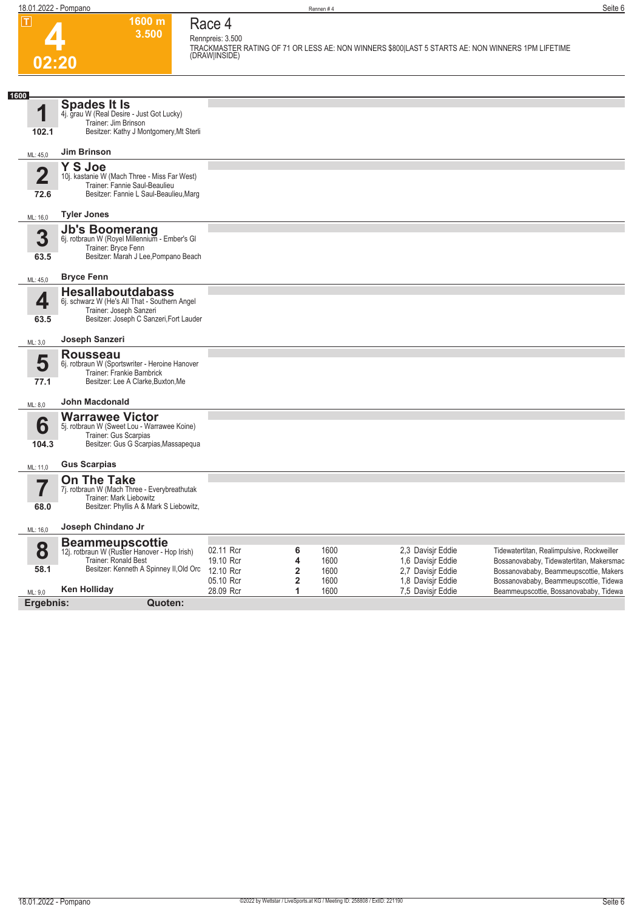| $ \mathsf{T} $                  | 1600 m<br>3.500                                                                                                                                 | Race 4<br>Rennpreis: 3.500                       |                  |                              | TRACKMASTER RATING OF 71 OR LESS AE: NON WINNERS \$800 LAST 5 STARTS AE: NON WINNERS 1PM LIFETIME<br>(DRAW INSIDE) |                                                                                                                                                                            |
|---------------------------------|-------------------------------------------------------------------------------------------------------------------------------------------------|--------------------------------------------------|------------------|------------------------------|--------------------------------------------------------------------------------------------------------------------|----------------------------------------------------------------------------------------------------------------------------------------------------------------------------|
| 02:20                           |                                                                                                                                                 |                                                  |                  |                              |                                                                                                                    |                                                                                                                                                                            |
|                                 |                                                                                                                                                 |                                                  |                  |                              |                                                                                                                    |                                                                                                                                                                            |
| 1600<br>1<br>102.1              | <b>Spades It Is</b><br>4j. grau W (Real Desire - Just Got Lucky)<br>Trainer: Jim Brinson<br>Besitzer: Kathy J Montgomery, Mt Sterli             |                                                  |                  |                              |                                                                                                                    |                                                                                                                                                                            |
| ML: 45,0                        | <b>Jim Brinson</b>                                                                                                                              |                                                  |                  |                              |                                                                                                                    |                                                                                                                                                                            |
| $\overline{\mathbf{2}}$<br>72.6 | Y S Joe<br>10j. kastanie W (Mach Three - Miss Far West)<br>Trainer: Fannie Saul-Beaulieu<br>Besitzer: Fannie L Saul-Beaulieu, Marg              |                                                  |                  |                              |                                                                                                                    |                                                                                                                                                                            |
| ML: 16,0                        | <b>Tyler Jones</b>                                                                                                                              |                                                  |                  |                              |                                                                                                                    |                                                                                                                                                                            |
| 3<br>63.5                       | Jb's Boomerang<br>6j. rotbraun W (Royel Millennium - Ember's Gl<br>Trainer: Bryce Fenn<br>Besitzer: Marah J Lee, Pompano Beach                  |                                                  |                  |                              |                                                                                                                    |                                                                                                                                                                            |
| ML: 45,0                        | <b>Bryce Fenn</b>                                                                                                                               |                                                  |                  |                              |                                                                                                                    |                                                                                                                                                                            |
| 4<br>63.5                       | <b>Hesallaboutdabass</b><br>6j. schwarz W (He's All That - Southern Angel<br>Trainer: Joseph Sanzeri<br>Besitzer: Joseph C Sanzeri, Fort Lauder |                                                  |                  |                              |                                                                                                                    |                                                                                                                                                                            |
| ML: 3,0                         | Joseph Sanzeri                                                                                                                                  |                                                  |                  |                              |                                                                                                                    |                                                                                                                                                                            |
| 5<br>77.1                       | <b>Rousseau</b><br>6j. rotbraun W (Sportswriter - Heroine Hanover<br>Trainer: Frankie Bambrick<br>Besitzer: Lee A Clarke, Buxton, Me            |                                                  |                  |                              |                                                                                                                    |                                                                                                                                                                            |
| ML: 8,0                         | <b>John Macdonald</b>                                                                                                                           |                                                  |                  |                              |                                                                                                                    |                                                                                                                                                                            |
| 6<br>104.3                      | <b>Warrawee Victor</b><br>5j. rotbraun W (Sweet Lou - Warrawee Koine)<br>Trainer: Gus Scarpias<br>Besitzer: Gus G Scarpias, Massapequa          |                                                  |                  |                              |                                                                                                                    |                                                                                                                                                                            |
| ML: 11,0                        | <b>Gus Scarpias</b>                                                                                                                             |                                                  |                  |                              |                                                                                                                    |                                                                                                                                                                            |
| 68.0                            | <b>On The Take</b><br>7j. rotbraun W (Mach Three - Everybreathutak<br>Trainer: Mark Liebowitz<br>Besitzer: Phyllis A & Mark S Liebowitz,        |                                                  |                  |                              |                                                                                                                    |                                                                                                                                                                            |
| ML: 16,0                        | Joseph Chindano Jr                                                                                                                              |                                                  |                  |                              |                                                                                                                    |                                                                                                                                                                            |
| 8<br>58.1                       | <b>Beammeupscottie</b><br>12j. rotbraun W (Rustler Hanover - Hop Irish)<br>Trainer: Ronald Best<br>Besitzer: Kenneth A Spinney II, Old Orc      | 02.11 Rcr<br>19.10 Rcr<br>12.10 Rcr<br>05.10 Rcr | 6<br>4<br>2<br>2 | 1600<br>1600<br>1600<br>1600 | 2,3 Davisjr Eddie<br>1,6 Davisjr Eddie<br>2,7 Davisjr Eddie<br>1,8 Davisjr Eddie                                   | Tidewatertitan, Realimpulsive, Rockweiller<br>Bossanovababy, Tidewatertitan, Makersmac<br>Bossanovababy, Beammeupscottie, Makers<br>Bossanovababy, Beammeupscottie, Tidewa |
| ML: 9,0                         | <b>Ken Holliday</b>                                                                                                                             | 28.09 Rcr                                        | 1                | 1600                         | 7,5 Davisjr Eddie                                                                                                  | Beammeupscottie, Bossanovababy, Tidewa                                                                                                                                     |
| Ergebnis:                       | Quoten:                                                                                                                                         |                                                  |                  |                              |                                                                                                                    |                                                                                                                                                                            |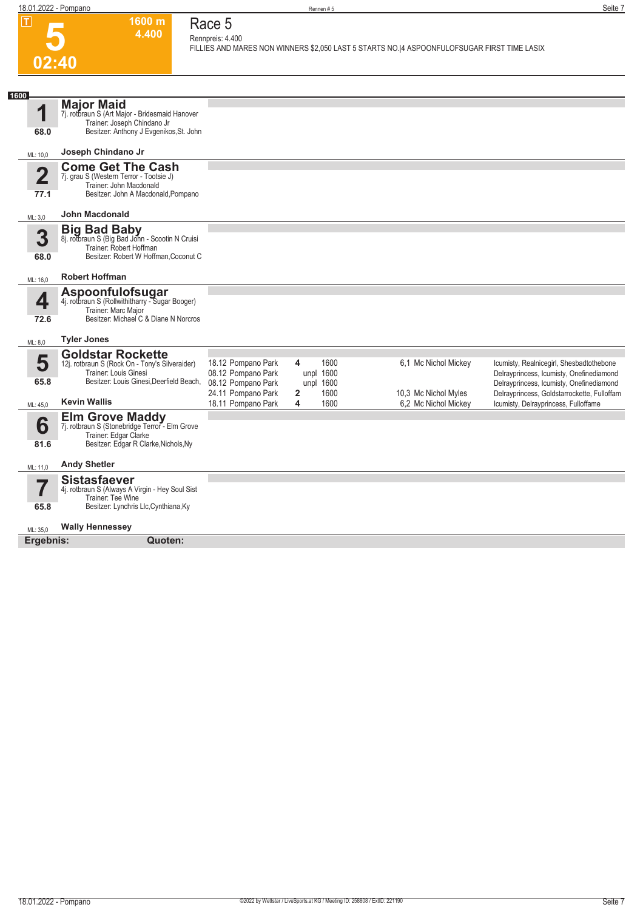**5 02:40**

### **Race 5 Rennpreis: 4.400**

**1600 m 4.400** 

**FILLIES AND MARES NON WINNERS \$2,050 LAST 5 STARTS NO.|4 ASPOONFULOFSUGAR FIRST TIME LASIX** 

| 1600                    |                                                                                                                                            |                                          |                                     |                                              |                                                                                      |
|-------------------------|--------------------------------------------------------------------------------------------------------------------------------------------|------------------------------------------|-------------------------------------|----------------------------------------------|--------------------------------------------------------------------------------------|
| 1                       | <b>Major Maid</b><br>7j. rotbraun S (Art Major - Bridesmaid Hanover<br>Trainer: Joseph Chindano Jr                                         |                                          |                                     |                                              |                                                                                      |
| 68.0                    | Besitzer: Anthony J Evgenikos, St. John                                                                                                    |                                          |                                     |                                              |                                                                                      |
| ML: 10,0                | Joseph Chindano Jr                                                                                                                         |                                          |                                     |                                              |                                                                                      |
| $\overline{\mathbf{2}}$ | <b>Come Get The Cash</b><br>7j. grau S (Western Terror - Tootsie J)<br>Trainer: John Macdonald                                             |                                          |                                     |                                              |                                                                                      |
| 77.1                    | Besitzer: John A Macdonald, Pompano                                                                                                        |                                          |                                     |                                              |                                                                                      |
| ML: 3,0                 | John Macdonald                                                                                                                             |                                          |                                     |                                              |                                                                                      |
| 3<br>68.0               | <b>Big Bad Baby</b><br>8j. rotbraun S (Big Bad John - Scootin N Cruisi<br>Trainer: Robert Hoffman<br>Besitzer: Robert W Hoffman, Coconut C |                                          |                                     |                                              |                                                                                      |
| ML: 16,0                | <b>Robert Hoffman</b>                                                                                                                      |                                          |                                     |                                              |                                                                                      |
| 4<br>72.6               | Aspoonfulofsugar<br>4j. rotbraun S (Rollwithitharry - Sugar Booger)<br>Trainer: Marc Major<br>Besitzer: Michael C & Diane N Norcros        |                                          |                                     |                                              |                                                                                      |
| ML: 8,0                 | <b>Tyler Jones</b>                                                                                                                         |                                          |                                     |                                              |                                                                                      |
|                         | <b>Goldstar Rockette</b>                                                                                                                   |                                          |                                     |                                              |                                                                                      |
| 5                       | 12j. rotbraun S (Rock On - Tony's Silveraider)<br>Trainer: Louis Ginesi                                                                    | 18.12 Pompano Park<br>08.12 Pompano Park | 1600<br>4<br>unpl 1600              | 6,1 Mc Nichol Mickey                         | Icumisty, Realnicegirl, Shesbadtothebone                                             |
| 65.8                    | Besitzer: Louis Ginesi, Deerfield Beach,                                                                                                   | 08.12 Pompano Park                       | unpl 1600                           |                                              | Delrayprincess, Icumisty, Onefinediamond<br>Delrayprincess, Icumisty, Onefinediamond |
| ML: 45,0                | <b>Kevin Wallis</b>                                                                                                                        | 24.11 Pompano Park<br>18.11 Pompano Park | $\overline{2}$<br>1600<br>4<br>1600 | 10,3 Mc Nichol Myles<br>6,2 Mc Nichol Mickey | Delrayprincess, Goldstarrockette, Fulloffam<br>Icumisty, Delrayprincess, Fulloffame  |
| 6<br>81.6               | <b>Elm Grove Maddy</b><br>7j. rotbraun S (Stonebridge Terror - Elm Grove<br>Trainer: Edgar Clarke<br>Besitzer: Edgar R Clarke, Nichols, Ny |                                          |                                     |                                              |                                                                                      |
| ML: 11,0                | <b>Andy Shetler</b>                                                                                                                        |                                          |                                     |                                              |                                                                                      |
|                         | <b>Sistasfaever</b><br>4j. rotbraun S (Always A Virgin - Hey Soul Sist<br>Trainer: Tee Wine                                                |                                          |                                     |                                              |                                                                                      |
| 65.8                    | Besitzer: Lynchris Llc, Cynthiana, Ky                                                                                                      |                                          |                                     |                                              |                                                                                      |
| ML: 35,0                | <b>Wally Hennessey</b>                                                                                                                     |                                          |                                     |                                              |                                                                                      |
| Ergebnis:               | Quoten:                                                                                                                                    |                                          |                                     |                                              |                                                                                      |
|                         |                                                                                                                                            |                                          |                                     |                                              |                                                                                      |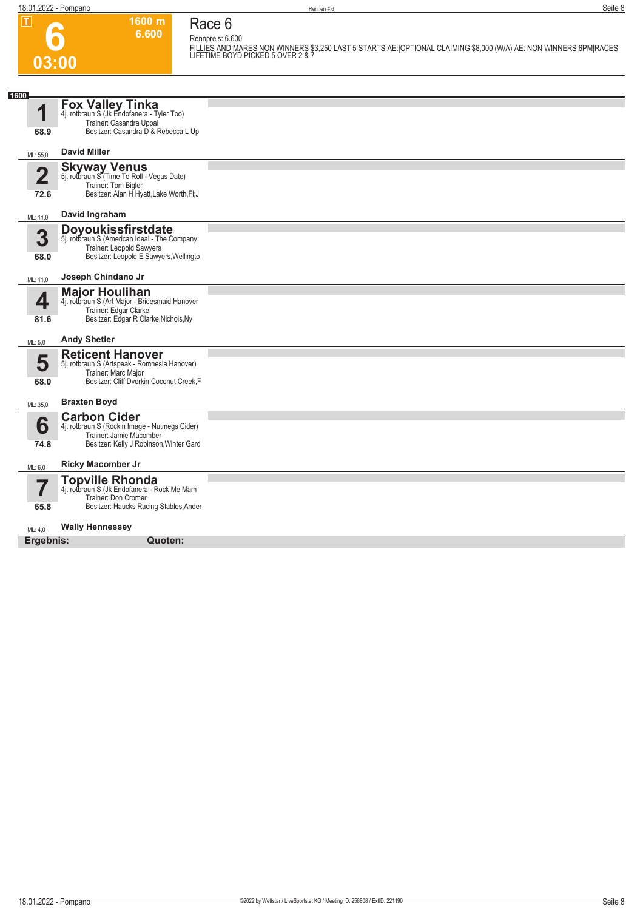**6**

**6.600 Race 6 Rennpreis: 6.600**

**1600 m**



Besitzer: Haucks Racing Stables,Ander

#### $MI \cdot 40$ **Wally Hennessey**

**Ergebnis: Quoten:**

**65.8**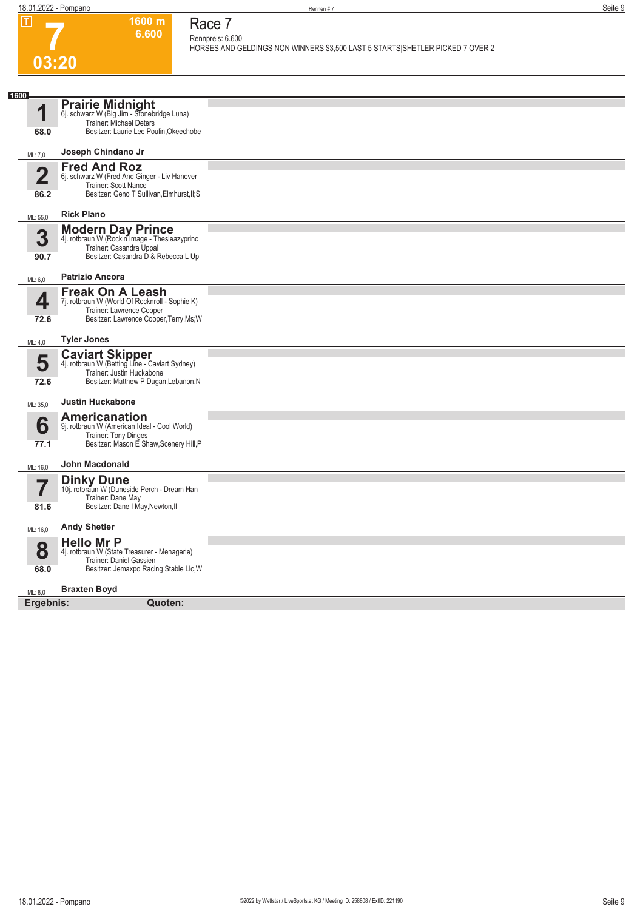**1600 m 6.600**  **Race 7 Rennpreis: 6.600**

**HORSES AND GELDINGS NON WINNERS \$3,500 LAST 5 STARTS|SHETLER PICKED 7 OVER 2** 

# **7 03:20**

| 1600                     |                                                                                                                                                |  |
|--------------------------|------------------------------------------------------------------------------------------------------------------------------------------------|--|
| ◀                        | <b>Prairie Midnight</b><br>6j. schwarz W (Big Jim - Stonebridge Luna)<br>Trainer: Michael Deters                                               |  |
| 68.0                     | Besitzer: Laurie Lee Poulin, Okeechobe                                                                                                         |  |
| ML: 7,0                  | Joseph Chindano Jr                                                                                                                             |  |
| $\mathbf{2}$             | <b>Fred And Roz</b><br>6j. schwarz W (Fred And Ginger - Liv Hanover                                                                            |  |
|                          | Trainer: Scott Nance                                                                                                                           |  |
| 86.2                     | Besitzer: Geno T Sullivan, Elmhurst, II; S                                                                                                     |  |
| ML: 55,0                 | <b>Rick Plano</b>                                                                                                                              |  |
| 3                        | <b>Modern Day Prince</b><br>4j. rotbraun W (Rockin Image - Thesleazyprinc<br>Trainer: Casandra Uppal                                           |  |
| 90.7                     | Besitzer: Casandra D & Rebecca L Up                                                                                                            |  |
| ML: 6,0                  | <b>Patrizio Ancora</b>                                                                                                                         |  |
| 4                        | <b>Freak On A Leash</b><br>7j. rotbraun W (World Of Rocknroll - Sophie K)                                                                      |  |
| 72.6                     | Trainer: Lawrence Cooper<br>Besitzer: Lawrence Cooper, Terry, Ms; W                                                                            |  |
| ML: 4,0                  | <b>Tyler Jones</b>                                                                                                                             |  |
| 5<br>72.6                | <b>Caviart Skipper</b><br>4j. rotbraun W (Betting Line - Caviart Sydney)<br>Trainer: Justin Huckabone<br>Besitzer: Matthew P Dugan, Lebanon, N |  |
| ML: 35,0                 | <b>Justin Huckabone</b>                                                                                                                        |  |
| 6<br>77.1                | Americanation<br>9j. rotbraun W (American Ideal - Cool World)<br>Trainer: Tony Dinges<br>Besitzer: Mason E Shaw, Scenery Hill, P               |  |
| ML: 16,0                 | <b>John Macdonald</b>                                                                                                                          |  |
| $\overline{\phantom{a}}$ | <b>Dinky Dune</b><br>10j. rotbraun W (Duneside Perch - Dream Han                                                                               |  |
| 81.6                     | Trainer: Dane May<br>Besitzer: Dane I May, Newton, II                                                                                          |  |
| ML: 16,0                 | <b>Andy Shetler</b>                                                                                                                            |  |
|                          | <b>Hello Mr P</b>                                                                                                                              |  |
| 8                        | 4j. rotbraun W (State Treasurer - Menagerie)<br>Trainer: Daniel Gassien                                                                        |  |
| 68.0                     | Besitzer: Jemaxpo Racing Stable Llc, W                                                                                                         |  |
| ML: 8,0                  | <b>Braxten Boyd</b>                                                                                                                            |  |
| Ergebnis:                | Quoten:                                                                                                                                        |  |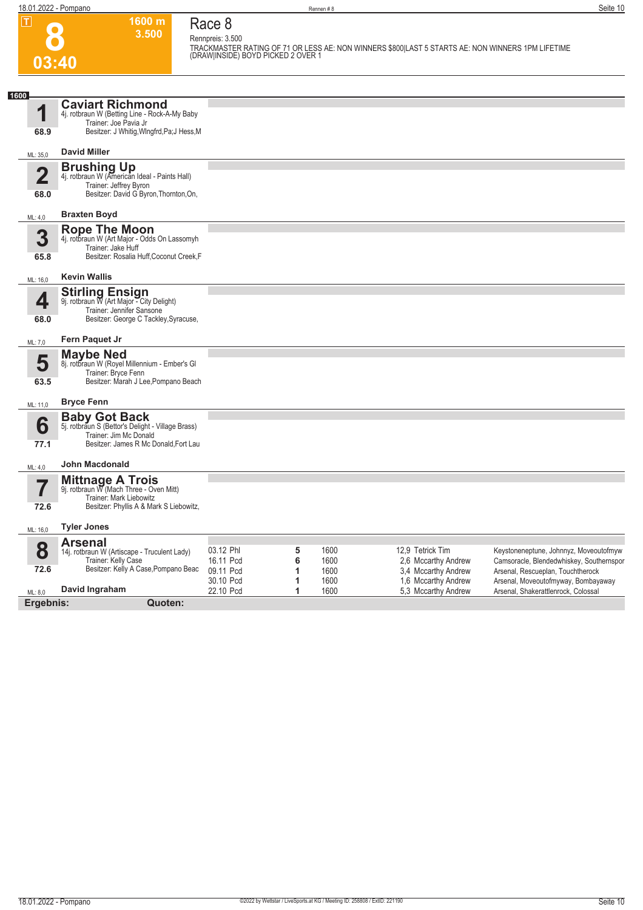**03:40**

**8**

**1600 m 3.500 Race 8 Rennpreis: 3.500**

**TRACKMASTER RATING OF 71 OR LESS AE: NON WINNERS \$800|LAST 5 STARTS AE: NON WINNERS 1PM LIFETIME (DRAW|INSIDE) BOYD PICKED 2 OVER 1** 

| 1600                    | <b>Caviart Richmond</b>                                                   |                        |        |              |                  |                                            |                                                                          |
|-------------------------|---------------------------------------------------------------------------|------------------------|--------|--------------|------------------|--------------------------------------------|--------------------------------------------------------------------------|
| 1                       | 4j. rotbraun W (Betting Line - Rock-A-My Baby<br>Trainer: Joe Pavia Jr    |                        |        |              |                  |                                            |                                                                          |
| 68.9                    | Besitzer: J Whitig, WIngfrd, Pa; J Hess, M                                |                        |        |              |                  |                                            |                                                                          |
| ML: 35,0                | <b>David Miller</b>                                                       |                        |        |              |                  |                                            |                                                                          |
| $\overline{\mathbf{2}}$ | <b>Brushing Up</b><br>4j. rotbraun W (American Ideal - Paints Hall)       |                        |        |              |                  |                                            |                                                                          |
|                         | Trainer: Jeffrey Byron                                                    |                        |        |              |                  |                                            |                                                                          |
| 68.0                    | Besitzer: David G Byron, Thornton, On,                                    |                        |        |              |                  |                                            |                                                                          |
| ML: 4,0                 | <b>Braxten Boyd</b>                                                       |                        |        |              |                  |                                            |                                                                          |
| 3                       | <b>Rope The Moon</b><br>4j. rotbraun W (Art Major - Odds On Lassomyh      |                        |        |              |                  |                                            |                                                                          |
|                         | Trainer: Jake Huff<br>Besitzer: Rosalia Huff, Coconut Creek, F            |                        |        |              |                  |                                            |                                                                          |
| 65.8                    |                                                                           |                        |        |              |                  |                                            |                                                                          |
| ML: 16.0                | <b>Kevin Wallis</b>                                                       |                        |        |              |                  |                                            |                                                                          |
| 4                       | <b>Stirling Ensign</b><br>9j. rotbraun W (Art Major - City Delight)       |                        |        |              |                  |                                            |                                                                          |
| 68.0                    | Trainer: Jennifer Sansone<br>Besitzer: George C Tackley, Syracuse,        |                        |        |              |                  |                                            |                                                                          |
|                         |                                                                           |                        |        |              |                  |                                            |                                                                          |
| ML: 7,0                 | Fern Paquet Jr                                                            |                        |        |              |                  |                                            |                                                                          |
| 5                       | Maybe Ned<br>8j. rotbraun W (Royel Millennium - Ember's Gl                |                        |        |              |                  |                                            |                                                                          |
| 63.5                    | Trainer: Bryce Fenn<br>Besitzer: Marah J Lee, Pompano Beach               |                        |        |              |                  |                                            |                                                                          |
|                         |                                                                           |                        |        |              |                  |                                            |                                                                          |
| ML: 11,0                | <b>Bryce Fenn</b>                                                         |                        |        |              |                  |                                            |                                                                          |
| 6                       | <b>Baby Got Back</b><br>5j. rotbraun S (Bettor's Delight - Village Brass) |                        |        |              |                  |                                            |                                                                          |
| 77.1                    | Trainer: Jim Mc Donald<br>Besitzer: James R Mc Donald, Fort Lau           |                        |        |              |                  |                                            |                                                                          |
|                         |                                                                           |                        |        |              |                  |                                            |                                                                          |
| ML: 4,0                 | <b>John Macdonald</b>                                                     |                        |        |              |                  |                                            |                                                                          |
| ۳,                      | <b>Mittnage A Trois</b><br>9j. rotbraun W (Mach Three - Oven Mitt)        |                        |        |              |                  |                                            |                                                                          |
| 72.6                    | Trainer: Mark Liebowitz<br>Besitzer: Phyllis A & Mark S Liebowitz,        |                        |        |              |                  |                                            |                                                                          |
|                         |                                                                           |                        |        |              |                  |                                            |                                                                          |
| ML: 16,0                | <b>Tyler Jones</b>                                                        |                        |        |              |                  |                                            |                                                                          |
| 8                       | <b>Arsenal</b><br>14j. rotbraun W (Artiscape - Truculent Lady)            | 03.12 Phl              | 5      | 1600         | 12,9 Tetrick Tim |                                            | Keystoneneptune, Johnnyz, Moveoutofmyw                                   |
| 72.6                    | Trainer: Kelly Case<br>Besitzer: Kelly A Case, Pompano Beac               | 16.11 Pcd              | 6      | 1600         |                  | 2,6 Mccarthy Andrew                        | Camsoracle, Blendedwhiskey, Southernspor                                 |
|                         |                                                                           | 09.11 Pcd<br>30.10 Pcd | 1<br>1 | 1600<br>1600 |                  | 3,4 Mccarthy Andrew<br>1,6 Mccarthy Andrew | Arsenal, Rescueplan, Touchtherock<br>Arsenal, Moveoutofmyway, Bombayaway |
| ML: 8,0                 | David Ingraham                                                            | 22.10 Pcd              | 1      | 1600         |                  | 5,3 Mccarthy Andrew                        | Arsenal, Shakerattlenrock, Colossal                                      |
| Ergebnis:               | Quoten:                                                                   |                        |        |              |                  |                                            |                                                                          |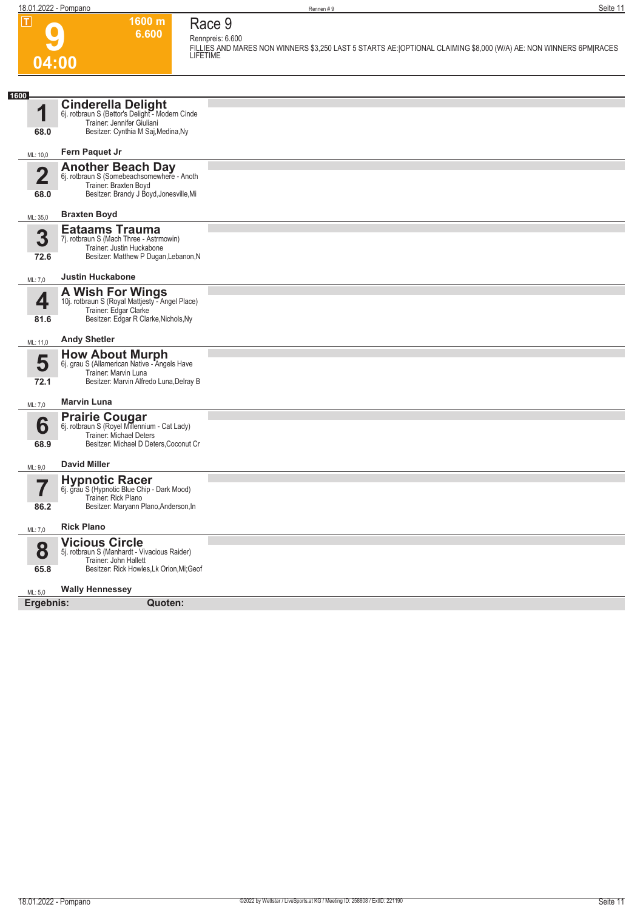## **9 04:00**

### **Race 9 Rennpreis: 6.600**

**1600 m 6.600** 

**FILLIES AND MARES NON WINNERS \$3,250 LAST 5 STARTS AE:|OPTIONAL CLAIMING \$8,000 (W/A) AE: NON WINNERS 6PM|RACES LIFETIME** 

| 1600                            |                                                                                                                                                                          |  |  |
|---------------------------------|--------------------------------------------------------------------------------------------------------------------------------------------------------------------------|--|--|
| 1<br>68.0                       | <b>Cinderella Delight</b><br>6j. rotbraun S (Bettor's Delight - Modern Cinde<br>Trainer: Jennifer Giuliani<br>Besitzer: Cynthia M Saj, Medina, Ny                        |  |  |
| ML: 10,0                        | Fern Paquet Jr                                                                                                                                                           |  |  |
| $\overline{\mathbf{2}}$<br>68.0 | <b>Another Beach Day</b><br>6j. rotbraun S (Somebeachsomewhere - Anoth<br>Trainer: Braxten Boyd<br>Besitzer: Brandy J Boyd, Jonesville, Mi                               |  |  |
|                                 | <b>Braxten Boyd</b>                                                                                                                                                      |  |  |
| ML: 35,0<br>3<br>72.6           | <b>Eataams Trauma</b><br>7j. rotbraun S (Mach Three - Astrmowin)<br>Trainer: Justin Huckabone<br>Besitzer: Matthew P Dugan, Lebanon, N                                   |  |  |
| ML: 7,0                         | <b>Justin Huckabone</b>                                                                                                                                                  |  |  |
| 4<br>81.6                       | <b>A Wish For Wings</b><br>10j. rotbraun S (Royal Mattjesty - Angel Place)<br>Trainer: Edgar Clarke<br>Besitzer: Edgar R Clarke, Nichols, Ny                             |  |  |
| ML: 11,0                        | <b>Andy Shetler</b>                                                                                                                                                      |  |  |
| 5<br>72.1                       | <b>How About Murph</b><br>6j. grau S (Allamerican Native - Angels Have<br>Trainer: Marvin Luna<br>Besitzer: Marvin Alfredo Luna, Delray B                                |  |  |
| ML: 7,0                         | <b>Marvin Luna</b>                                                                                                                                                       |  |  |
| 6<br>68.9                       | <b>Prairie Cougar</b><br>6j. rotbraun S (Royel Millennium - Cat Lady)<br><b>Trainer: Michael Deters</b><br>Besitzer: Michael D Deters, Coconut Cr<br><b>David Miller</b> |  |  |
| ML: 9,0                         | <b>Hypnotic Racer</b>                                                                                                                                                    |  |  |
| 7<br>86.2                       | 6j. grau S (Hypnotic Blue Chip - Dark Mood)<br>Trainer: Rick Plano<br>Besitzer: Maryann Plano, Anderson, In                                                              |  |  |
|                                 |                                                                                                                                                                          |  |  |
| ML: 7,0                         | <b>Rick Plano</b>                                                                                                                                                        |  |  |
| 8<br>65.8                       | <b>Vicious Circle</b><br>5j. rotbraun S (Manhardt - Vivacious Raider)<br>Trainer: John Hallett<br>Besitzer: Rick Howles, Lk Orion, Mi; Geof                              |  |  |
|                                 |                                                                                                                                                                          |  |  |
| ML: 5,0                         | <b>Wally Hennessey</b>                                                                                                                                                   |  |  |
| Ergebnis:<br>Quoten:            |                                                                                                                                                                          |  |  |